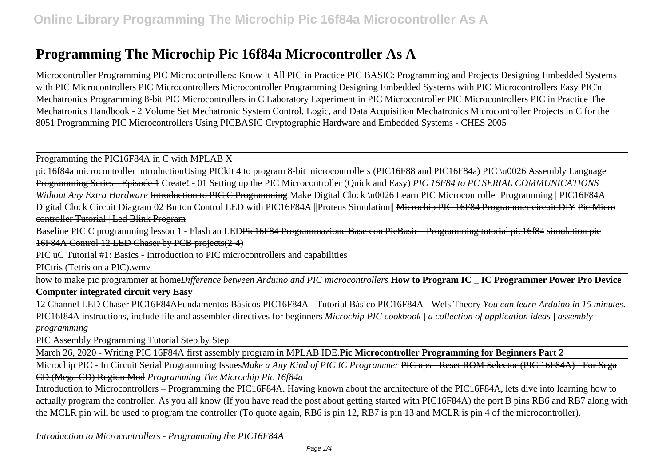# **Programming The Microchip Pic 16f84a Microcontroller As A**

Microcontroller Programming PIC Microcontrollers: Know It All PIC in Practice PIC BASIC: Programming and Projects Designing Embedded Systems with PIC Microcontrollers PIC Microcontrollers Microcontroller Programming Designing Embedded Systems with PIC Microcontrollers Easy PIC'n Mechatronics Programming 8-bit PIC Microcontrollers in C Laboratory Experiment in PIC Microcontroller PIC Microcontrollers PIC in Practice The Mechatronics Handbook - 2 Volume Set Mechatronic System Control, Logic, and Data Acquisition Mechatronics Microcontroller Projects in C for the 8051 Programming PIC Microcontrollers Using PICBASIC Cryptographic Hardware and Embedded Systems - CHES 2005

Programming the PIC16F84A in C with MPLAB X

pic16f84a microcontroller introductionUsing PICkit 4 to program 8-bit microcontrollers (PIC16F88 and PIC16F84a) PIC \u0026 Assembly Language Programming Series - Episode 1 Create! - 01 Setting up the PIC Microcontroller (Quick and Easy) *PIC 16F84 to PC SERIAL COMMUNICATIONS Without Any Extra Hardware* Introduction to PIC C Programming Make Digital Clock \u0026 Learn PIC Microcontroller Programming | PIC16F84A Digital Clock Circuit Diagram 02 Button Control LED with PIC16F84A ||Proteus Simulation|| <del>Microchip PIC 16F84 Programmer circuit DIY Pic Micro</del> controller Tutorial | Led Blink Program

Baseline PIC C programming lesson 1 - Flash an LEDPic16F84 Programmazione Base con PicBasic - Programming tutorial pic16f84 simulation pic 16F84A Control 12 LED Chaser by PCB projects(2-4)

PIC uC Tutorial #1: Basics - Introduction to PIC microcontrollers and capabilities

PICtris (Tetris on a PIC).wmv

how to make pic programmer at home*Difference between Arduino and PIC microcontrollers* **How to Program IC \_ IC Programmer Power Pro Device Computer integrated circuit very Easy**

12 Channel LED Chaser PIC16F84AFundamentos Básicos PIC16F84A - Tutorial Básico PIC16F84A - Wels Theory *You can learn Arduino in 15 minutes.* PIC16f84A instructions, include file and assembler directives for beginners *Microchip PIC cookbook | a collection of application ideas | assembly programming*

PIC Assembly Programming Tutorial Step by Step

March 26, 2020 - Writing PIC 16F84A first assembly program in MPLAB IDE.**Pic Microcontroller Programming for Beginners Part 2**

Microchip PIC - In Circuit Serial Programming Issues*Make a Any Kind of PIC IC Programmer* PIC ups - Reset ROM Selector (PIC 16F84A) - For Sega CD (Mega CD) Region Mod *Programming The Microchip Pic 16f84a*

Introduction to Microcontrollers – Programming the PIC16F84A. Having known about the architecture of the PIC16F84A, lets dive into learning how to actually program the controller. As you all know (If you have read the post about getting started with PIC16F84A) the port B pins RB6 and RB7 along with the MCLR pin will be used to program the controller (To quote again, RB6 is pin 12, RB7 is pin 13 and MCLR is pin 4 of the microcontroller).

*Introduction to Microcontrollers - Programming the PIC16F84A*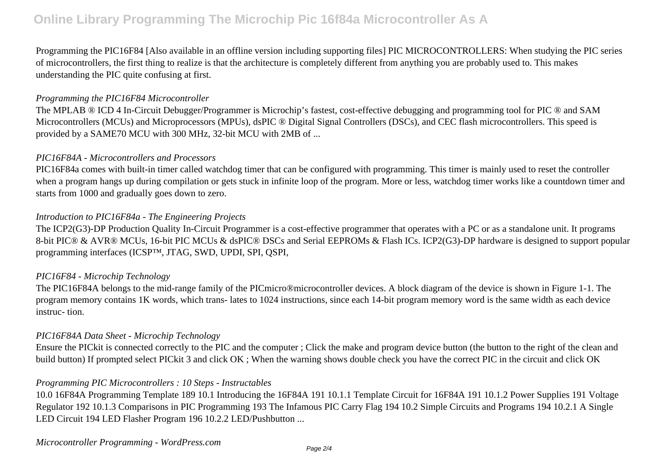Programming the PIC16F84 [Also available in an offline version including supporting files] PIC MICROCONTROLLERS: When studying the PIC series of microcontrollers, the first thing to realize is that the architecture is completely different from anything you are probably used to. This makes understanding the PIC quite confusing at first.

#### *Programming the PIC16F84 Microcontroller*

The MPLAB ® ICD 4 In-Circuit Debugger/Programmer is Microchip's fastest, cost-effective debugging and programming tool for PIC ® and SAM Microcontrollers (MCUs) and Microprocessors (MPUs), dsPIC ® Digital Signal Controllers (DSCs), and CEC flash microcontrollers. This speed is provided by a SAME70 MCU with 300 MHz, 32-bit MCU with 2MB of ...

## *PIC16F84A - Microcontrollers and Processors*

PIC16F84a comes with built-in timer called watchdog timer that can be configured with programming. This timer is mainly used to reset the controller when a program hangs up during compilation or gets stuck in infinite loop of the program. More or less, watchdog timer works like a countdown timer and starts from 1000 and gradually goes down to zero.

## *Introduction to PIC16F84a - The Engineering Projects*

The ICP2(G3)-DP Production Quality In-Circuit Programmer is a cost-effective programmer that operates with a PC or as a standalone unit. It programs 8-bit PIC® & AVR® MCUs, 16-bit PIC MCUs & dsPIC® DSCs and Serial EEPROMs & Flash ICs. ICP2(G3)-DP hardware is designed to support popular programming interfaces (ICSP™, JTAG, SWD, UPDI, SPI, QSPI,

## *PIC16F84 - Microchip Technology*

The PIC16F84A belongs to the mid-range family of the PICmicro®microcontroller devices. A block diagram of the device is shown in Figure 1-1. The program memory contains 1K words, which trans- lates to 1024 instructions, since each 14-bit program memory word is the same width as each device instruc- tion.

## *PIC16F84A Data Sheet - Microchip Technology*

Ensure the PICkit is connected correctly to the PIC and the computer ; Click the make and program device button (the button to the right of the clean and build button) If prompted select PICkit 3 and click OK ; When the warning shows double check you have the correct PIC in the circuit and click OK

## *Programming PIC Microcontrollers : 10 Steps - Instructables*

10.0 16F84A Programming Template 189 10.1 Introducing the 16F84A 191 10.1.1 Template Circuit for 16F84A 191 10.1.2 Power Supplies 191 Voltage Regulator 192 10.1.3 Comparisons in PIC Programming 193 The Infamous PIC Carry Flag 194 10.2 Simple Circuits and Programs 194 10.2.1 A Single LED Circuit 194 LED Flasher Program 196 10.2.2 LED/Pushbutton ...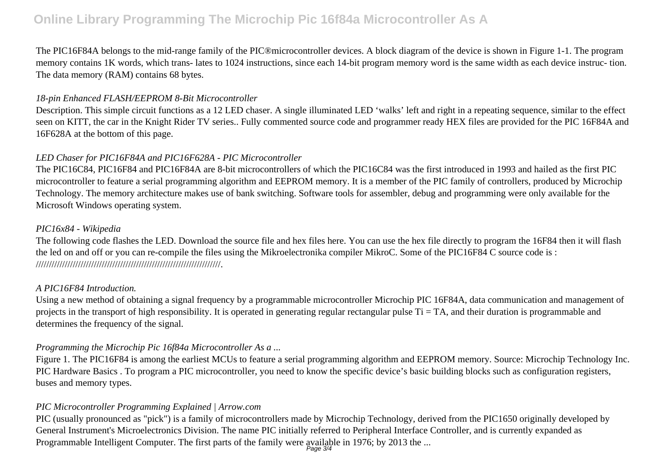## **Online Library Programming The Microchip Pic 16f84a Microcontroller As A**

The PIC16F84A belongs to the mid-range family of the PIC®microcontroller devices. A block diagram of the device is shown in Figure 1-1. The program memory contains 1K words, which trans- lates to 1024 instructions, since each 14-bit program memory word is the same width as each device instruc- tion. The data memory (RAM) contains 68 bytes.

## *18-pin Enhanced FLASH/EEPROM 8-Bit Microcontroller*

Description. This simple circuit functions as a 12 LED chaser. A single illuminated LED 'walks' left and right in a repeating sequence, similar to the effect seen on KITT, the car in the Knight Rider TV series.. Fully commented source code and programmer ready HEX files are provided for the PIC 16F84A and 16F628A at the bottom of this page.

## *LED Chaser for PIC16F84A and PIC16F628A - PIC Microcontroller*

The PIC16C84, PIC16F84 and PIC16F84A are 8-bit microcontrollers of which the PIC16C84 was the first introduced in 1993 and hailed as the first PIC microcontroller to feature a serial programming algorithm and EEPROM memory. It is a member of the PIC family of controllers, produced by Microchip Technology. The memory architecture makes use of bank switching. Software tools for assembler, debug and programming were only available for the Microsoft Windows operating system.

## *PIC16x84 - Wikipedia*

The following code flashes the LED. Download the source file and hex files here. You can use the hex file directly to program the 16F84 then it will flash the led on and off or you can re-compile the files using the Mikroelectronika compiler MikroC. Some of the PIC16F84 C source code is : //////////////////////////////////////////////////////////////////////.

## *A PIC16F84 Introduction.*

Using a new method of obtaining a signal frequency by a programmable microcontroller Microchip PIC 16F84A, data communication and management of projects in the transport of high responsibility. It is operated in generating regular rectangular pulse  $Ti = TA$ , and their duration is programmable and determines the frequency of the signal.

## *Programming the Microchip Pic 16f84a Microcontroller As a ...*

Figure 1. The PIC16F84 is among the earliest MCUs to feature a serial programming algorithm and EEPROM memory. Source: Microchip Technology Inc. PIC Hardware Basics . To program a PIC microcontroller, you need to know the specific device's basic building blocks such as configuration registers, buses and memory types.

## *PIC Microcontroller Programming Explained | Arrow.com*

PIC (usually pronounced as "pick") is a family of microcontrollers made by Microchip Technology, derived from the PIC1650 originally developed by General Instrument's Microelectronics Division. The name PIC initially referred to Peripheral Interface Controller, and is currently expanded as Programmable Intelligent Computer. The first parts of the family were available in 1976; by 2013 the ...